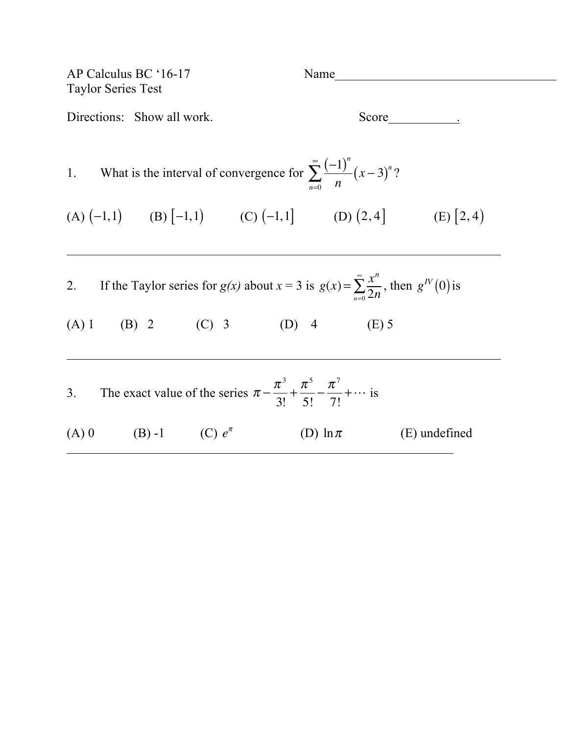| AP Calculus BC '16-17<br><b>Taylor Series Test</b>                                                                                                  | Name                           |
|-----------------------------------------------------------------------------------------------------------------------------------------------------|--------------------------------|
| Directions: Show all work.                                                                                                                          |                                |
| 1. What is the interval of convergence for $\sum_{n=0}^{\infty} \frac{(-1)^n}{n} (x-3)^n$ ?                                                         |                                |
| (A) $(-1,1)$ (B) $[-1,1)$ (C) $(-1,1]$ (D) $(2,4)$ (E) $[2,4)$                                                                                      |                                |
| 2. If the Taylor series for $g(x)$ about $x = 3$ is $g(x) = \sum_{n=0}^{\infty} \frac{x^n}{2n}$ , then $g^N(0)$ is<br>(A) 1 (B) 2 (C) 3 (D) 4 (E) 5 |                                |
| 3. The exact value of the series $\pi - \frac{\pi^3}{3!} + \frac{\pi^5}{5!} - \frac{\pi^7}{7!} + \cdots$ is                                         |                                |
| (A) 0 (B) -1 (C) $e^{\pi}$                                                                                                                          | (D) $\ln \pi$<br>(E) undefined |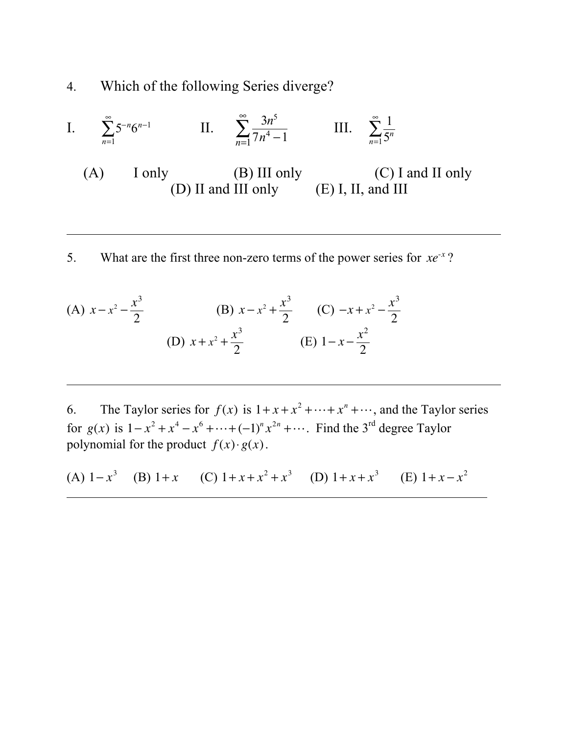4. Which of the following Series diverge?

I. 
$$
\sum_{n=1}^{\infty} 5^{-n}6^{n-1}
$$
 II.  $\sum_{n=1}^{\infty} \frac{3n^5}{7n^4 - 1}$  III.  $\sum_{n=1}^{\infty} \frac{1}{5^n}$   
(A) I only (B) III only (C) I and II only  
(D) II and III only (E) I, II, and III

5. What are the first three non-zero terms of the power series for *xe*-*<sup>x</sup>* ?

(A) 
$$
x - x^2 - \frac{x^3}{2}
$$
 (B)  $x - x^2 + \frac{x^3}{2}$  (C)  $-x + x^2 - \frac{x^3}{2}$   
(D)  $x + x^2 + \frac{x^3}{2}$  (E)  $1 - x - \frac{x^2}{2}$ 

6. The Taylor series for  $f(x)$  is  $1 + x + x^2 + \cdots + x^n + \cdots$ , and the Taylor series for  $g(x)$  is  $1 - x^2 + x^4 - x^6 + \cdots + (-1)^n x^{2n} + \cdots$ . Find the 3<sup>rd</sup> degree Taylor polynomial for the product  $f(x) \cdot g(x)$ .

(A)  $1-x^3$  (B)  $1+x$  (C)  $1+x+x^2+x^3$  (D)  $1+x+x^3$  (E)  $1+x-x^2$ ı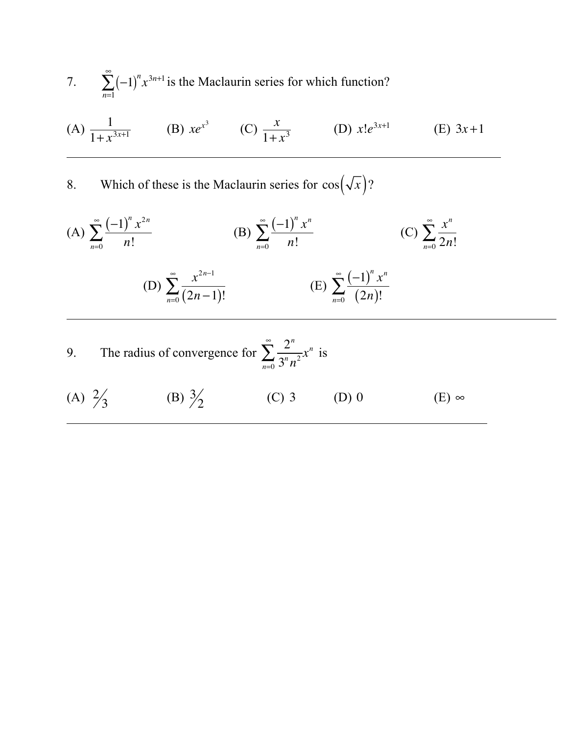- 7.  $\sum (-1)^n$ *n*=1 ∞  $\sum (-1)^n x^{3n+1}$  is the Maclaurin series for which function?
- (A)  $\frac{1}{1+x^{3x+1}}$  (B)  $xe^{x^3}$  (C)  $\frac{x}{1+x^3}$  (D)  $x!e^{3x+1}$  (E)  $3x+1$

8. Which of these is the Maclaurin series for  $cos(\sqrt{x})$ ?

(A) 
$$
\sum_{n=0}^{\infty} \frac{(-1)^n x^{2n}}{n!}
$$
 (B) 
$$
\sum_{n=0}^{\infty} \frac{(-1)^n x^n}{n!}
$$
 (C) 
$$
\sum_{n=0}^{\infty} \frac{x^n}{2n!}
$$
 (D) 
$$
\sum_{n=0}^{\infty} \frac{x^{2n-1}}{(2n-1)!}
$$
 (E) 
$$
\sum_{n=0}^{\infty} \frac{(-1)^n x^n}{(2n)!}
$$

9. The radius of convergence for 
$$
\sum_{n=0}^{\infty} \frac{2^n}{3^n n^2} x^n
$$
 is

(A)  $\frac{2}{3}$  (B)  $\frac{3}{7}$  $\frac{2}{2}$  (C) 3 (D) 0 (E)  $\infty$ l,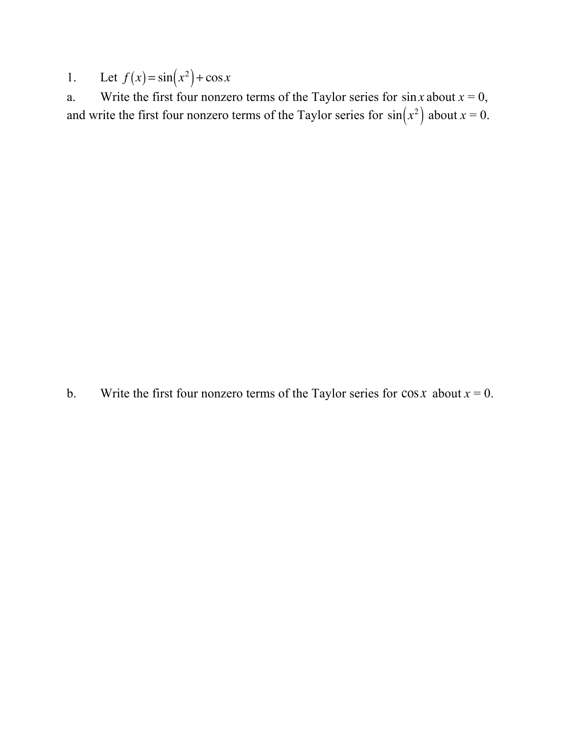1. Let  $f(x) = \sin(x^2) + \cos x$ 

a. Write the first four nonzero terms of the Taylor series for  $\sin x$  about  $x = 0$ , and write the first four nonzero terms of the Taylor series for  $sin(x^2)$  about  $x = 0$ .

b. Write the first four nonzero terms of the Taylor series for  $\cos x$  about  $x = 0$ .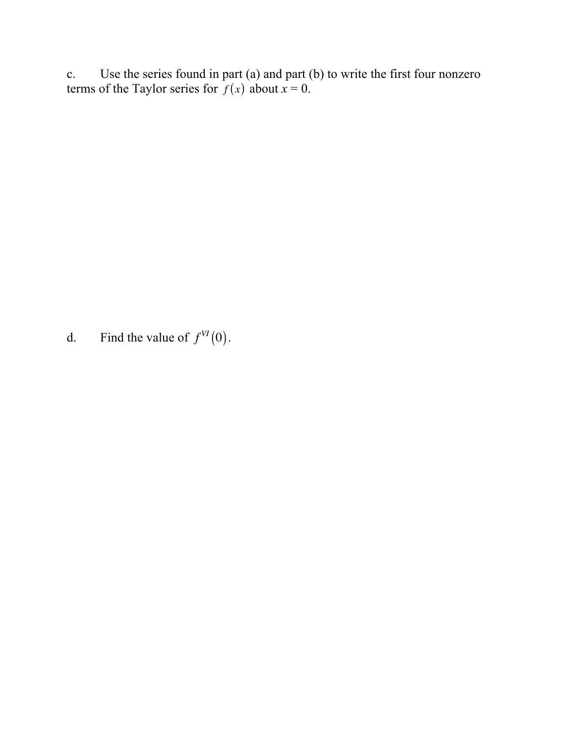c. Use the series found in part (a) and part (b) to write the first four nonzero terms of the Taylor series for  $f(x)$  about  $x = 0$ .

d. Find the value of  $f^{VI}(0)$ .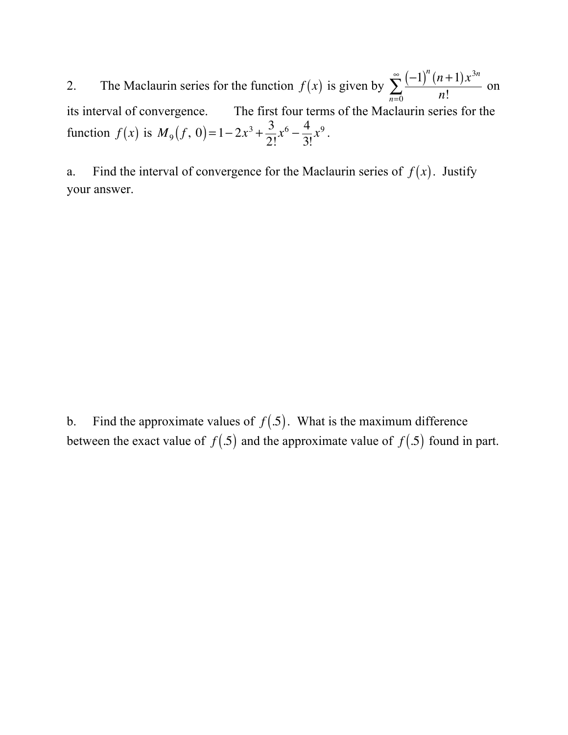2. The Maclaurin series for the function  $f(x)$  is given by  $\sum_{n=1}^{\infty} \frac{(-1)^n (n+1) x^{3n}}{n!}$  $\sum_{n=0}$  *n*! ∞  $\sum_{n=1}^{\infty} \frac{(-1)^n (n+1)x}{n!}$  on its interval of convergence. The first four terms of the Maclaurin series for the function  $f(x)$  is  $M_9(f, 0) = 1 - 2x^3 + \frac{3}{2}$ 2!  $x^6 - \frac{4}{2}$ 3! *x*<sup>9</sup> .

a. Find the interval of convergence for the Maclaurin series of  $f(x)$ . Justify your answer.

b. Find the approximate values of  $f(.5)$ . What is the maximum difference between the exact value of  $f(.5)$  and the approximate value of  $f(.5)$  found in part.